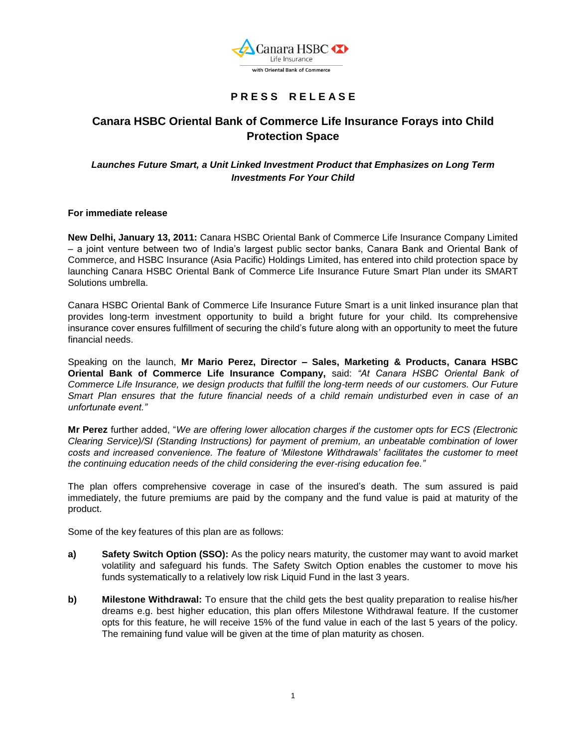

# **P R E S S R E L E A S E**

## **Canara HSBC Oriental Bank of Commerce Life Insurance Forays into Child Protection Space**

### *Launches Future Smart, a Unit Linked Investment Product that Emphasizes on Long Term Investments For Your Child*

### **For immediate release**

**New Delhi, January 13, 2011:** Canara HSBC Oriental Bank of Commerce Life Insurance Company Limited – a joint venture between two of India's largest public sector banks, Canara Bank and Oriental Bank of Commerce, and HSBC Insurance (Asia Pacific) Holdings Limited, has entered into child protection space by launching Canara HSBC Oriental Bank of Commerce Life Insurance Future Smart Plan under its SMART Solutions umbrella.

Canara HSBC Oriental Bank of Commerce Life Insurance Future Smart is a unit linked insurance plan that provides long-term investment opportunity to build a bright future for your child. Its comprehensive insurance cover ensures fulfillment of securing the child's future along with an opportunity to meet the future financial needs.

Speaking on the launch, **Mr Mario Perez, Director – Sales, Marketing & Products, Canara HSBC Oriental Bank of Commerce Life Insurance Company,** said: *"At Canara HSBC Oriental Bank of Commerce Life Insurance, we design products that fulfill the long-term needs of our customers. Our Future Smart Plan ensures that the future financial needs of a child remain undisturbed even in case of an unfortunate event."*

**Mr Perez** further added, "*We are offering lower allocation charges if the customer opts for ECS (Electronic Clearing Service)/SI (Standing Instructions) for payment of premium, an unbeatable combination of lower costs and increased convenience. The feature of "Milestone Withdrawals" facilitates the customer to meet the continuing education needs of the child considering the ever-rising education fee."*

The plan offers comprehensive coverage in case of the insured's death. The sum assured is paid immediately, the future premiums are paid by the company and the fund value is paid at maturity of the product.

Some of the key features of this plan are as follows:

- **a) Safety Switch Option (SSO):** As the policy nears maturity, the customer may want to avoid market volatility and safeguard his funds. The Safety Switch Option enables the customer to move his funds systematically to a relatively low risk Liquid Fund in the last 3 years.
- **b) Milestone Withdrawal:** To ensure that the child gets the best quality preparation to realise his/her dreams e.g. best higher education, this plan offers Milestone Withdrawal feature. If the customer opts for this feature, he will receive 15% of the fund value in each of the last 5 years of the policy. The remaining fund value will be given at the time of plan maturity as chosen.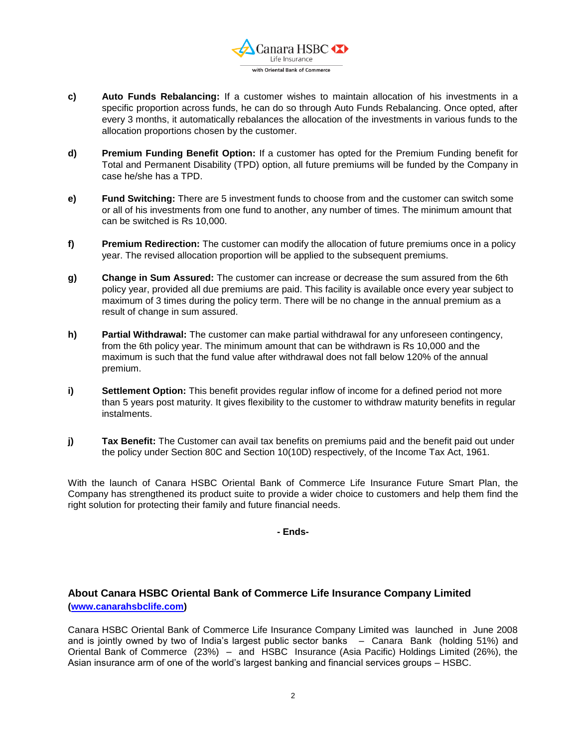

- **c) Auto Funds Rebalancing:** If a customer wishes to maintain allocation of his investments in a specific proportion across funds, he can do so through Auto Funds Rebalancing. Once opted, after every 3 months, it automatically rebalances the allocation of the investments in various funds to the allocation proportions chosen by the customer.
- **d) Premium Funding Benefit Option:** If a customer has opted for the Premium Funding benefit for Total and Permanent Disability (TPD) option, all future premiums will be funded by the Company in case he/she has a TPD.
- **e) Fund Switching:** There are 5 investment funds to choose from and the customer can switch some or all of his investments from one fund to another, any number of times. The minimum amount that can be switched is Rs 10,000.
- **f) Premium Redirection:** The customer can modify the allocation of future premiums once in a policy year. The revised allocation proportion will be applied to the subsequent premiums.
- **g) Change in Sum Assured:** The customer can increase or decrease the sum assured from the 6th policy year, provided all due premiums are paid. This facility is available once every year subject to maximum of 3 times during the policy term. There will be no change in the annual premium as a result of change in sum assured.
- **h) Partial Withdrawal:** The customer can make partial withdrawal for any unforeseen contingency, from the 6th policy year. The minimum amount that can be withdrawn is Rs 10,000 and the maximum is such that the fund value after withdrawal does not fall below 120% of the annual premium.
- **i) Settlement Option:** This benefit provides regular inflow of income for a defined period not more than 5 years post maturity. It gives flexibility to the customer to withdraw maturity benefits in regular instalments.
- **j) Tax Benefit:** The Customer can avail tax benefits on premiums paid and the benefit paid out under the policy under Section 80C and Section 10(10D) respectively, of the Income Tax Act, 1961.

With the launch of Canara HSBC Oriental Bank of Commerce Life Insurance Future Smart Plan, the Company has strengthened its product suite to provide a wider choice to customers and help them find the right solution for protecting their family and future financial needs.

#### **- Ends-**

## **About Canara HSBC Oriental Bank of Commerce Life Insurance Company Limited [\(www.canarahsbclife.com\)](http://www.canarahsbclife.com/)**

Canara HSBC Oriental Bank of Commerce Life Insurance Company Limited was launched in June 2008 and is jointly owned by two of India's largest public sector banks – Canara Bank (holding 51%) and Oriental Bank of Commerce (23%) – and HSBC Insurance (Asia Pacific) Holdings Limited (26%), the Asian insurance arm of one of the world's largest banking and financial services groups – HSBC.